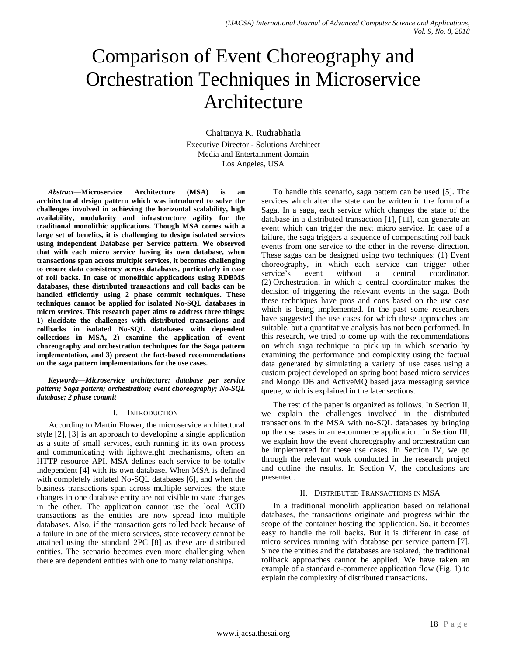# Comparison of Event Choreography and Orchestration Techniques in Microservice Architecture

Chaitanya K. Rudrabhatla Executive Director - Solutions Architect Media and Entertainment domain Los Angeles, USA

*Abstract***—Microservice Architecture (MSA) is an architectural design pattern which was introduced to solve the challenges involved in achieving the horizontal scalability, high availability, modularity and infrastructure agility for the traditional monolithic applications. Though MSA comes with a large set of benefits, it is challenging to design isolated services using independent Database per Service pattern. We observed that with each micro service having its own database, when transactions span across multiple services, it becomes challenging to ensure data consistency across databases, particularly in case of roll backs. In case of monolithic applications using RDBMS databases, these distributed transactions and roll backs can be handled efficiently using 2 phase commit techniques. These techniques cannot be applied for isolated No-SQL databases in micro services. This research paper aims to address three things: 1) elucidate the challenges with distributed transactions and rollbacks in isolated No-SQL databases with dependent collections in MSA, 2) examine the application of event choreography and orchestration techniques for the Saga pattern implementation, and 3) present the fact-based recommendations on the saga pattern implementations for the use cases.**

*Keywords—Microservice architecture; database per service pattern; Saga pattern; orchestration; event choreography; No-SQL database; 2 phase commit*

## I. INTRODUCTION

According to Martin Flower, the microservice architectural style [2], [3] is an approach to developing a single application as a suite of small services, each running in its own process and communicating with lightweight mechanisms, often an HTTP resource API. MSA defines each service to be totally independent [4] with its own database. When MSA is defined with completely isolated No-SQL databases [6], and when the business transactions span across multiple services, the state changes in one database entity are not visible to state changes in the other. The application cannot use the local ACID transactions as the entities are now spread into multiple databases. Also, if the transaction gets rolled back because of a failure in one of the micro services, state recovery cannot be attained using the standard 2PC [8] as these are distributed entities. The scenario becomes even more challenging when there are dependent entities with one to many relationships.

To handle this scenario, saga pattern can be used [5]. The services which alter the state can be written in the form of a Saga. In a saga, each service which changes the state of the database in a distributed transaction [1], [11], can generate an event which can trigger the next micro service. In case of a failure, the saga triggers a sequence of compensating roll back events from one service to the other in the reverse direction. These sagas can be designed using two techniques: (1) Event choreography, in which each service can trigger other service's event without a central coordinator. (2) Orchestration, in which a central coordinator makes the decision of triggering the relevant events in the saga. Both these techniques have pros and cons based on the use case which is being implemented. In the past some researchers have suggested the use cases for which these approaches are suitable, but a quantitative analysis has not been performed. In this research, we tried to come up with the recommendations on which saga technique to pick up in which scenario by examining the performance and complexity using the factual data generated by simulating a variety of use cases using a custom project developed on spring boot based micro services and Mongo DB and ActiveMQ based java messaging service queue, which is explained in the later sections.

The rest of the paper is organized as follows. In Section II, we explain the challenges involved in the distributed transactions in the MSA with no-SQL databases by bringing up the use cases in an e-commerce application. In Section III, we explain how the event choreography and orchestration can be implemented for these use cases. In Section IV, we go through the relevant work conducted in the research project and outline the results. In Section V, the conclusions are presented.

## II. DISTRIBUTED TRANSACTIONS IN MSA

In a traditional monolith application based on relational databases, the transactions originate and progress within the scope of the container hosting the application. So, it becomes easy to handle the roll backs. But it is different in case of micro services running with database per service pattern [7]. Since the entities and the databases are isolated, the traditional rollback approaches cannot be applied. We have taken an example of a standard e-commerce application flow (Fig. 1) to explain the complexity of distributed transactions.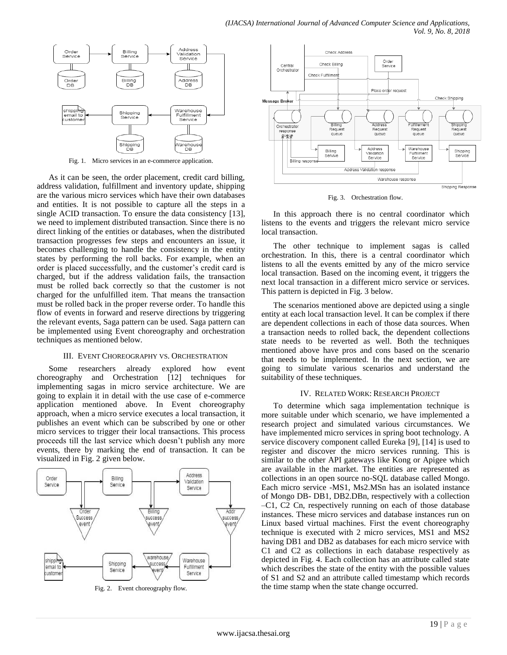

Fig. 1. Micro services in an e-commerce application.

As it can be seen, the order placement, credit card billing, address validation, fulfillment and inventory update, shipping are the various micro services which have their own databases and entities. It is not possible to capture all the steps in a single ACID transaction. To ensure the data consistency [13], we need to implement distributed transaction. Since there is no direct linking of the entities or databases, when the distributed transaction progresses few steps and encounters an issue, it becomes challenging to handle the consistency in the entity states by performing the roll backs. For example, when an order is placed successfully, and the customer's credit card is charged, but if the address validation fails, the transaction must be rolled back correctly so that the customer is not charged for the unfulfilled item. That means the transaction must be rolled back in the proper reverse order. To handle this flow of events in forward and reserve directions by triggering the relevant events, Saga pattern can be used. Saga pattern can be implemented using Event choreography and orchestration techniques as mentioned below.

#### III. EVENT CHOREOGRAPHY VS. ORCHESTRATION

Some researchers already explored how event choreography and Orchestration [12] techniques for implementing sagas in micro service architecture. We are going to explain it in detail with the use case of e-commerce application mentioned above. In Event choreography approach, when a micro service executes a local transaction, it publishes an event which can be subscribed by one or other micro services to trigger their local transactions. This process proceeds till the last service which doesn't publish any more events, there by marking the end of transaction. It can be visualized in Fig. 2 given below.



Fig. 2. Event choreography flow.



Fig. 3. Orchestration flow.

In this approach there is no central coordinator which listens to the events and triggers the relevant micro service local transaction.

The other technique to implement sagas is called orchestration. In this, there is a central coordinator which listens to all the events emitted by any of the micro service local transaction. Based on the incoming event, it triggers the next local transaction in a different micro service or services. This pattern is depicted in Fig. 3 below.

The scenarios mentioned above are depicted using a single entity at each local transaction level. It can be complex if there are dependent collections in each of those data sources. When a transaction needs to rolled back, the dependent collections state needs to be reverted as well. Both the techniques mentioned above have pros and cons based on the scenario that needs to be implemented. In the next section, we are going to simulate various scenarios and understand the suitability of these techniques.

#### IV. RELATED WORK: RESEARCH PROJECT

To determine which saga implementation technique is more suitable under which scenario, we have implemented a research project and simulated various circumstances. We have implemented micro services in spring boot technology. A service discovery component called Eureka [9], [14] is used to register and discover the micro services running. This is similar to the other API gateways like Kong or Apigee which are available in the market. The entities are represented as collections in an open source no-SQL database called Mongo. Each micro service -MS1, Ms2.MSn has an isolated instance of Mongo DB- DB1, DB2.DBn, respectively with a collection –C1, C2 Cn, respectively running on each of those database instances. These micro services and database instances run on Linux based virtual machines. First the event choreography technique is executed with 2 micro services, MS1 and MS2 having DB1 and DB2 as databases for each micro service with C1 and C2 as collections in each database respectively as depicted in Fig. 4. Each collection has an attribute called state which describes the state of the entity with the possible values of S1 and S2 and an attribute called timestamp which records the time stamp when the state change occurred.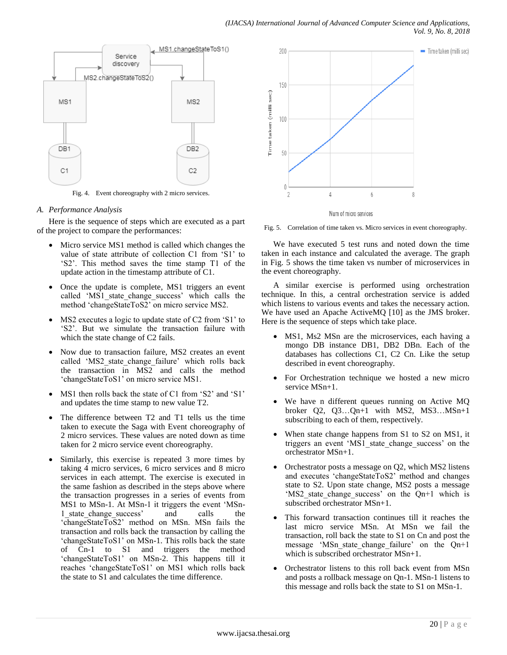

Fig. 4. Event choreography with 2 micro services.

### *A. Performance Analysis*

Here is the sequence of steps which are executed as a part of the project to compare the performances:

- Micro service MS1 method is called which changes the value of state attribute of collection C1 from 'S1' to 'S2'. This method saves the time stamp T1 of the update action in the timestamp attribute of C1.
- Once the update is complete, MS1 triggers an event called 'MS1 state change success' which calls the method 'changeStateToS2' on micro service MS2.
- MS2 executes a logic to update state of C2 from 'S1' to 'S2'. But we simulate the transaction failure with which the state change of C<sub>2</sub> fails.
- Now due to transaction failure, MS2 creates an event called 'MS2 state change failure' which rolls back the transaction in  $\overline{MS2}$  and calls the method 'changeStateToS1' on micro service MS1.
- MS1 then rolls back the state of C1 from 'S2' and 'S1' and updates the time stamp to new value T2.
- The difference between T2 and T1 tells us the time taken to execute the Saga with Event choreography of 2 micro services. These values are noted down as time taken for 2 micro service event choreography.
- Similarly, this exercise is repeated 3 more times by taking 4 micro services, 6 micro services and 8 micro services in each attempt. The exercise is executed in the same fashion as described in the steps above where the transaction progresses in a series of events from MS1 to MSn-1. At MSn-1 it triggers the event 'MSn-1 state change success' and calls the 'changeStateToS2' method on MSn. MSn fails the transaction and rolls back the transaction by calling the 'changeStateToS1' on MSn-1. This rolls back the state of Cn-1 to S1 and triggers the method 'changeStateToS1' on MSn-2. This happens till it reaches 'changeStateToS1' on MS1 which rolls back the state to S1 and calculates the time difference.



Fig. 5. Correlation of time taken vs. Micro services in event choreography.

We have executed 5 test runs and noted down the time taken in each instance and calculated the average. The graph in Fig. 5 shows the time taken vs number of microservices in the event choreography.

A similar exercise is performed using orchestration technique. In this, a central orchestration service is added which listens to various events and takes the necessary action. We have used an Apache ActiveMQ [10] as the JMS broker. Here is the sequence of steps which take place.

- MS1, Ms2 MSn are the microservices, each having a mongo DB instance DB1, DB2 DBn. Each of the databases has collections C1, C2 Cn. Like the setup described in event choreography.
- For Orchestration technique we hosted a new micro service MSn+1.
- We have n different queues running on Active MQ broker Q2, Q3…Qn+1 with MS2, MS3…MSn+1 subscribing to each of them, respectively.
- When state change happens from S1 to S2 on MS1, it triggers an event 'MS1\_state\_change\_success' on the orchestrator MSn+1.
- Orchestrator posts a message on Q2, which MS2 listens and executes 'changeStateToS2' method and changes state to S2. Upon state change, MS2 posts a message 'MS2 state\_change\_success' on the Qn+1 which is subscribed orchestrator MSn+1.
- This forward transaction continues till it reaches the last micro service MSn. At MSn we fail the transaction, roll back the state to S1 on Cn and post the message 'MSn\_state\_change\_failure' on the Qn+1 which is subscribed orchestrator MSn+1.
- Orchestrator listens to this roll back event from MSn and posts a rollback message on Qn-1. MSn-1 listens to this message and rolls back the state to S1 on MSn-1.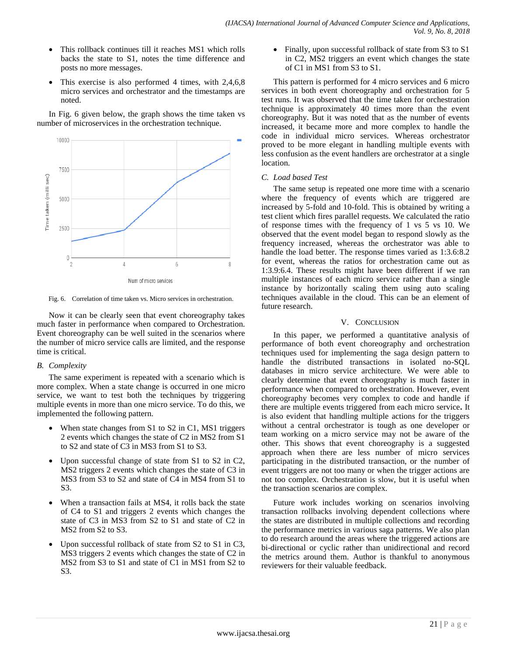- This rollback continues till it reaches MS1 which rolls backs the state to S1, notes the time difference and posts no more messages.
- This exercise is also performed 4 times, with 2,4,6,8 micro services and orchestrator and the timestamps are noted.

In Fig. 6 given below, the graph shows the time taken vs number of microservices in the orchestration technique.



Fig. 6. Correlation of time taken vs. Micro services in orchestration.

Now it can be clearly seen that event choreography takes much faster in performance when compared to Orchestration. Event choreography can be well suited in the scenarios where the number of micro service calls are limited, and the response time is critical.

## *B. Complexity*

The same experiment is repeated with a scenario which is more complex. When a state change is occurred in one micro service, we want to test both the techniques by triggering multiple events in more than one micro service. To do this, we implemented the following pattern.

- When state changes from S1 to S2 in C1, MS1 triggers 2 events which changes the state of C2 in MS2 from S1 to S2 and state of C3 in MS3 from S1 to S3.
- Upon successful change of state from S1 to S2 in C2, MS2 triggers 2 events which changes the state of C3 in MS3 from S3 to S2 and state of C4 in MS4 from S1 to  $S<sub>3</sub>$
- When a transaction fails at MS4, it rolls back the state of C4 to S1 and triggers 2 events which changes the state of C3 in MS3 from S2 to S1 and state of C2 in MS2 from S2 to S3.
- Upon successful rollback of state from S2 to S1 in C3, MS3 triggers 2 events which changes the state of C2 in MS2 from S3 to S1 and state of C1 in MS1 from S2 to S3.

• Finally, upon successful rollback of state from S3 to S1 in C2, MS2 triggers an event which changes the state of C1 in MS1 from S3 to S1.

This pattern is performed for 4 micro services and 6 micro services in both event choreography and orchestration for 5 test runs. It was observed that the time taken for orchestration technique is approximately 40 times more than the event choreography. But it was noted that as the number of events increased, it became more and more complex to handle the code in individual micro services. Whereas orchestrator proved to be more elegant in handling multiple events with less confusion as the event handlers are orchestrator at a single location.

## *C. Load based Test*

The same setup is repeated one more time with a scenario where the frequency of events which are triggered are increased by 5-fold and 10-fold. This is obtained by writing a test client which fires parallel requests. We calculated the ratio of response times with the frequency of 1 vs 5 vs 10. We observed that the event model began to respond slowly as the frequency increased, whereas the orchestrator was able to handle the load better. The response times varied as 1:3.6:8.2 for event, whereas the ratios for orchestration came out as 1:3.9:6.4. These results might have been different if we ran multiple instances of each micro service rather than a single instance by horizontally scaling them using auto scaling techniques available in the cloud. This can be an element of future research.

## V. CONCLUSION

In this paper, we performed a quantitative analysis of performance of both event choreography and orchestration techniques used for implementing the saga design pattern to handle the distributed transactions in isolated no-SQL databases in micro service architecture. We were able to clearly determine that event choreography is much faster in performance when compared to orchestration. However, event choreography becomes very complex to code and handle if there are multiple events triggered from each micro service**.** It is also evident that handling multiple actions for the triggers without a central orchestrator is tough as one developer or team working on a micro service may not be aware of the other. This shows that event choreography is a suggested approach when there are less number of micro services participating in the distributed transaction, or the number of event triggers are not too many or when the trigger actions are not too complex. Orchestration is slow, but it is useful when the transaction scenarios are complex.

Future work includes working on scenarios involving transaction rollbacks involving dependent collections where the states are distributed in multiple collections and recording the performance metrics in various saga patterns. We also plan to do research around the areas where the triggered actions are bi-directional or cyclic rather than unidirectional and record the metrics around them. Author is thankful to anonymous reviewers for their valuable feedback.